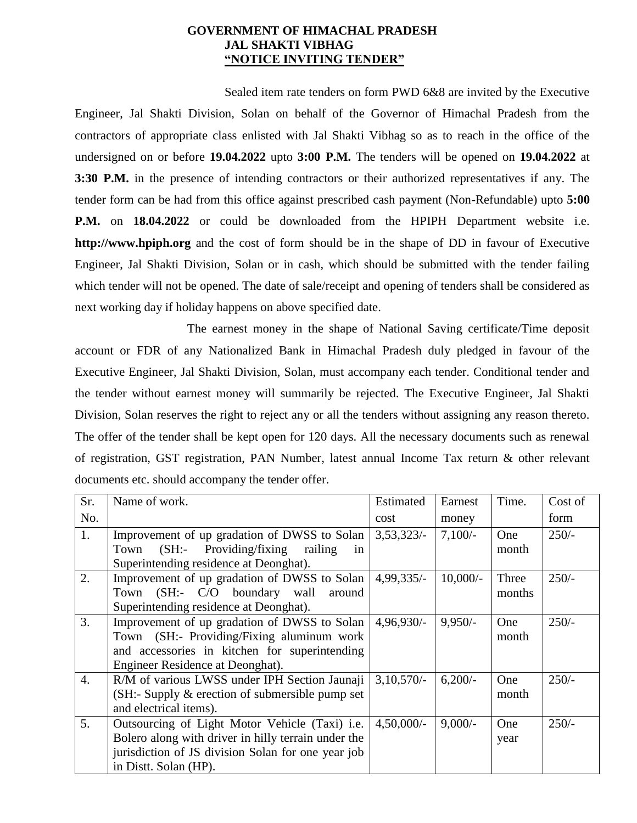### **GOVERNMENT OF HIMACHAL PRADESH JAL SHAKTI VIBHAG "NOTICE INVITING TENDER"**

Sealed item rate tenders on form PWD 6&8 are invited by the Executive Engineer, Jal Shakti Division, Solan on behalf of the Governor of Himachal Pradesh from the contractors of appropriate class enlisted with Jal Shakti Vibhag so as to reach in the office of the undersigned on or before **19.04.2022** upto **3:00 P.M.** The tenders will be opened on **19.04.2022** at **3:30 P.M.** in the presence of intending contractors or their authorized representatives if any. The tender form can be had from this office against prescribed cash payment (Non-Refundable) upto **5:00 P.M.** on **18.04.2022** or could be downloaded from the HPIPH Department website i.e. **http://www.hpiph.org** and the cost of form should be in the shape of DD in favour of Executive Engineer, Jal Shakti Division, Solan or in cash, which should be submitted with the tender failing which tender will not be opened. The date of sale/receipt and opening of tenders shall be considered as next working day if holiday happens on above specified date.

The earnest money in the shape of National Saving certificate/Time deposit account or FDR of any Nationalized Bank in Himachal Pradesh duly pledged in favour of the Executive Engineer, Jal Shakti Division, Solan, must accompany each tender. Conditional tender and the tender without earnest money will summarily be rejected. The Executive Engineer, Jal Shakti Division, Solan reserves the right to reject any or all the tenders without assigning any reason thereto. The offer of the tender shall be kept open for 120 days. All the necessary documents such as renewal of registration, GST registration, PAN Number, latest annual Income Tax return & other relevant documents etc. should accompany the tender offer.

| Sr.              | Name of work.                                                       | Estimated     | Earnest    | Time.  | Cost of |
|------------------|---------------------------------------------------------------------|---------------|------------|--------|---------|
| No.              |                                                                     | cost          | money      |        | form    |
| 1.               | Improvement of up gradation of DWSS to Solan                        | 3,53,323/     | $7,100/-$  | One    | $250/-$ |
|                  | $(SH:$ - Providing/fixing<br>railing<br>Town<br>in                  |               |            | month  |         |
|                  | Superintending residence at Deonghat).                              |               |            |        |         |
| 2.               | Improvement of up gradation of DWSS to Solan                        | $4,99,335/-$  | $10,000/-$ | Three  | $250/-$ |
|                  | Town (SH:- C/O boundary wall<br>around                              |               |            | months |         |
|                  | Superintending residence at Deonghat).                              |               |            |        |         |
| 3.               | Improvement of up gradation of DWSS to Solan                        | $4,96,930/-$  | $9,950/-$  | One    | $250/-$ |
|                  | Town (SH:- Providing/Fixing aluminum work                           |               |            | month  |         |
|                  | and accessories in kitchen for superintending                       |               |            |        |         |
|                  | Engineer Residence at Deonghat).                                    |               |            |        |         |
| $\overline{4}$ . | R/M of various LWSS under IPH Section Jaunaji                       | $3,10,570/-$  | $6,200/-$  | One    | $250/-$ |
|                  | $(SH: \text{Supply } \& \text{ execution of submersible pump set})$ |               |            | month  |         |
|                  | and electrical items).                                              |               |            |        |         |
| 5.               | Outsourcing of Light Motor Vehicle (Taxi) i.e.                      | $4,50,000/$ - | $9,000/-$  | One    | $250/-$ |
|                  | Bolero along with driver in hilly terrain under the                 |               |            | year   |         |
|                  | jurisdiction of JS division Solan for one year job                  |               |            |        |         |
|                  | in Distt. Solan (HP).                                               |               |            |        |         |